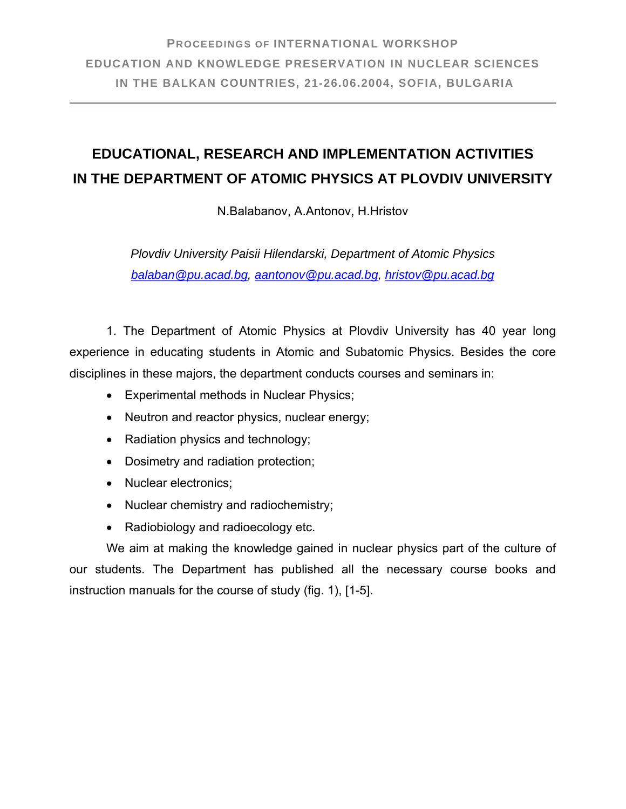## **EDUCATIONAL, RESEARCH AND IMPLEMENTATION ACTIVITIES IN THE DEPARTMENT OF ATOMIC PHYSICS AT PLOVDIV UNIVERSITY**

N.Balabanov, A.Antonov, H.Hristov

*Plovdiv University Paisii Hilendarski, Department of Atomic Physics balaban@pu.acad.bg, aantonov@pu.acad.bg, hristov@pu.acad.bg* 

1. The Department of Atomic Physics at Plovdiv University has 40 year long experience in educating students in Atomic and Subatomic Physics. Besides the core disciplines in these majors, the department conducts courses and seminars in:

- Experimental methods in Nuclear Physics;
- Neutron and reactor physics, nuclear energy;
- Radiation physics and technology;
- Dosimetry and radiation protection;
- Nuclear electronics:
- Nuclear chemistry and radiochemistry;
- Radiobiology and radioecology etc.

We aim at making the knowledge gained in nuclear physics part of the culture of our students. The Department has published all the necessary course books and instruction manuals for the course of study (fig. 1), [1-5].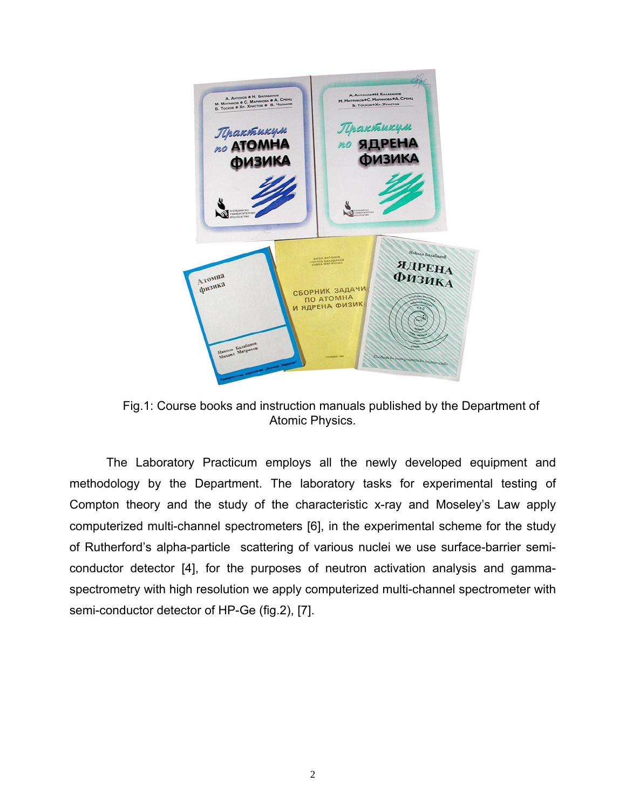

Fig.1: Course books and instruction manuals published by the Department of Atomic Physics.

The Laboratory Practicum employs all the newly developed equipment and methodology by the Department. The laboratory tasks for experimental testing of Compton theory and the study of the characteristic x-ray and Moseley's Law apply computerized multi-channel spectrometers [6], in the experimental scheme for the study of Rutherford's alpha-particle scattering of various nuclei we use surface-barrier semiconductor detector [4], for the purposes of neutron activation analysis and gammaspectrometry with high resolution we apply computerized multi-channel spectrometer with semi-conductor detector of HP-Ge (fig.2), [7].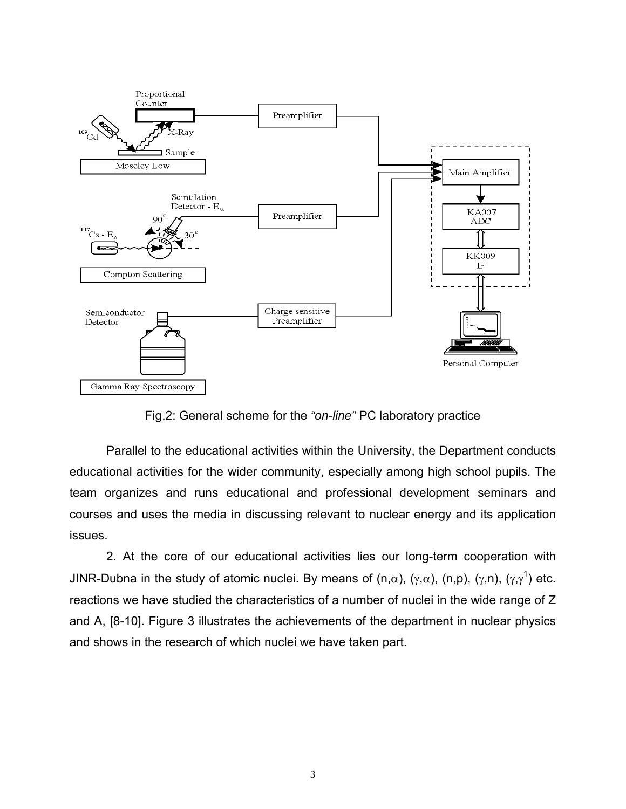

Fig.2: General scheme for the *"on-line"* PC laboratory practice

Parallel to the educational activities within the University, the Department conducts educational activities for the wider community, especially among high school pupils. The team organizes and runs educational and professional development seminars and courses and uses the media in discussing relevant to nuclear energy and its application issues.

2. At the core of our educational activities lies our long-term cooperation with JINR-Dubna in the study of atomic nuclei. By means of (n, $\alpha$ ), (γ, $\alpha$ ), (n,p), (γ,n), (γ,γ<sup>1</sup>) etc. reactions we have studied the characteristics of a number of nuclei in the wide range of Z and A, [8-10]. Figure 3 illustrates the achievements of the department in nuclear physics and shows in the research of which nuclei we have taken part.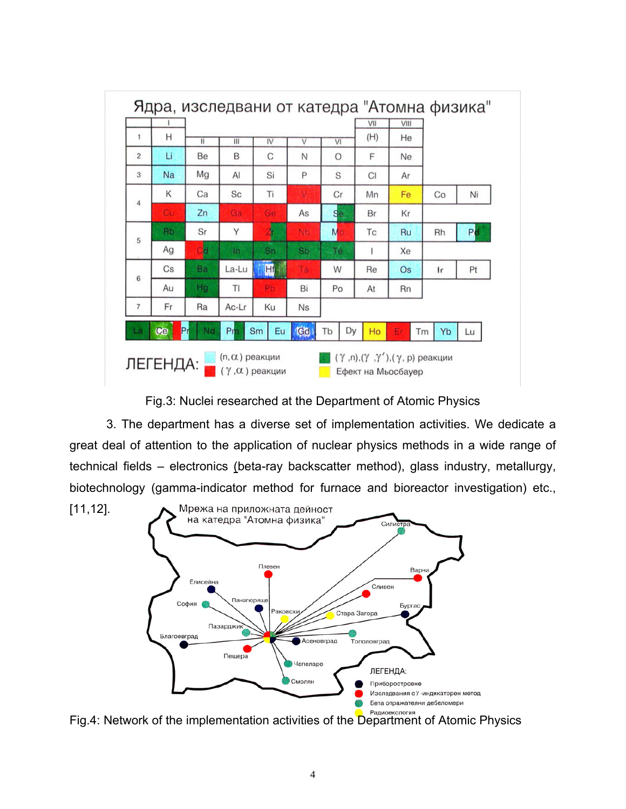

Fig.3: Nuclei researched at the Department of Atomic Physics

3. The department has a diverse set of implementation activities. We dedicate a great deal of attention to the application of nuclear physics methods in a wide range of technical fields – electronics (beta-ray backscatter method), glass industry, metallurgy, biotechnology (gamma-indicator method for furnace and bioreactor investigation) etc.,



Fig.4: Network of the implementation activities of the Department of Atomic Physics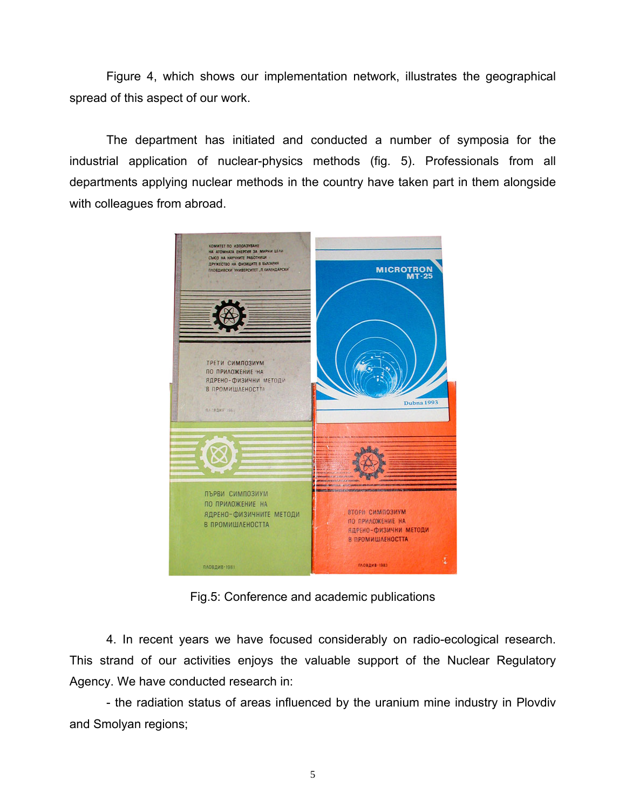Figure 4, which shows our implementation network, illustrates the geographical spread of this aspect of our work.

The department has initiated and conducted a number of symposia for the industrial application of nuclear-physics methods (fig. 5). Professionals from all departments applying nuclear methods in the country have taken part in them alongside with colleagues from abroad.



Fig.5: Conference and academic publications

4. In recent years we have focused considerably on radio-ecological research. This strand of our activities enjoys the valuable support of the Nuclear Regulatory Agency. We have conducted research in:

- the radiation status of areas influenced by the uranium mine industry in Plovdiv and Smolyan regions;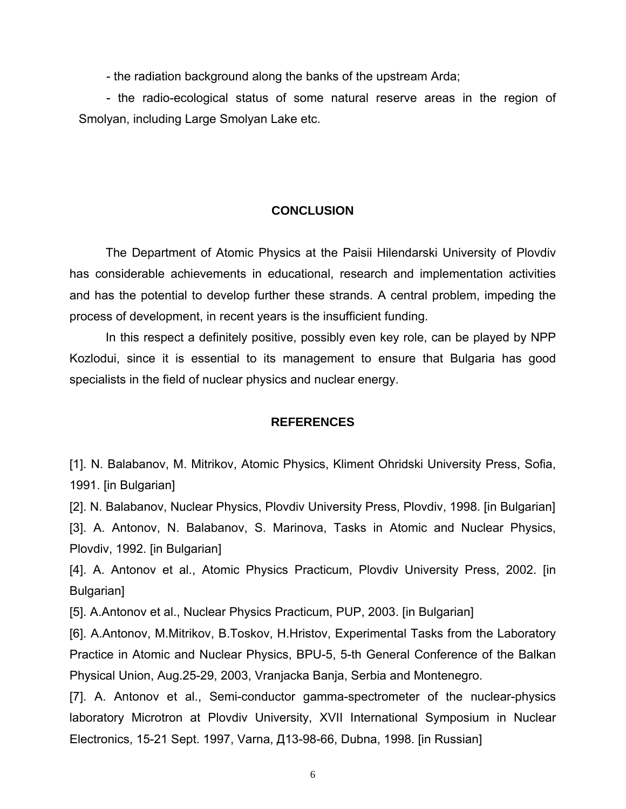- the radiation background along the banks of the upstream Arda;

- the radio-ecological status of some natural reserve areas in the region of Smolyan, including Large Smolyan Lake etc.

## **CONCLUSION**

The Department of Atomic Physics at the Paisii Hilendarski University of Plovdiv has considerable achievements in educational, research and implementation activities and has the potential to develop further these strands. A central problem, impeding the process of development, in recent years is the insufficient funding.

In this respect a definitely positive, possibly even key role, can be played by NPP Kozlodui, since it is essential to its management to ensure that Bulgaria has good specialists in the field of nuclear physics and nuclear energy.

## **REFERENCES**

[1]. N. Balabanov, M. Mitrikov, Atomic Physics, Kliment Ohridski University Press, Sofia, 1991. [in Bulgarian]

[2]. N. Balabanov, Nuclear Physics, Plovdiv University Press, Plovdiv, 1998. [in Bulgarian] [3]. A. Antonov, N. Balabanov, S. Marinova, Tasks in Atomic and Nuclear Physics, Plovdiv, 1992. [in Bulgarian]

[4]. A. Antonov et al., Atomic Physics Practicum, Plovdiv University Press, 2002. [in Bulgarian]

[5]. A.Antonov et al., Nuclear Physics Practicum, PUP, 2003. [in Bulgarian]

[6]. A.Antonov, M.Mitrikov, B.Toskov, H.Hristov, Experimental Tasks from the Laboratory Practice in Atomic and Nuclear Physics, BPU-5, 5-th General Conference of the Balkan Physical Union, Aug.25-29, 2003, Vranjacka Banja, Serbia and Montenegro.

[7]. A. Antonov et al., Semi-conductor gamma-spectrometer of the nuclear-physics laboratory Microtron at Plovdiv University, XVII International Symposium in Nuclear Electronics, 15-21 Sept. 1997, Varna, Д13-98-66, Dubna, 1998. [in Russian]